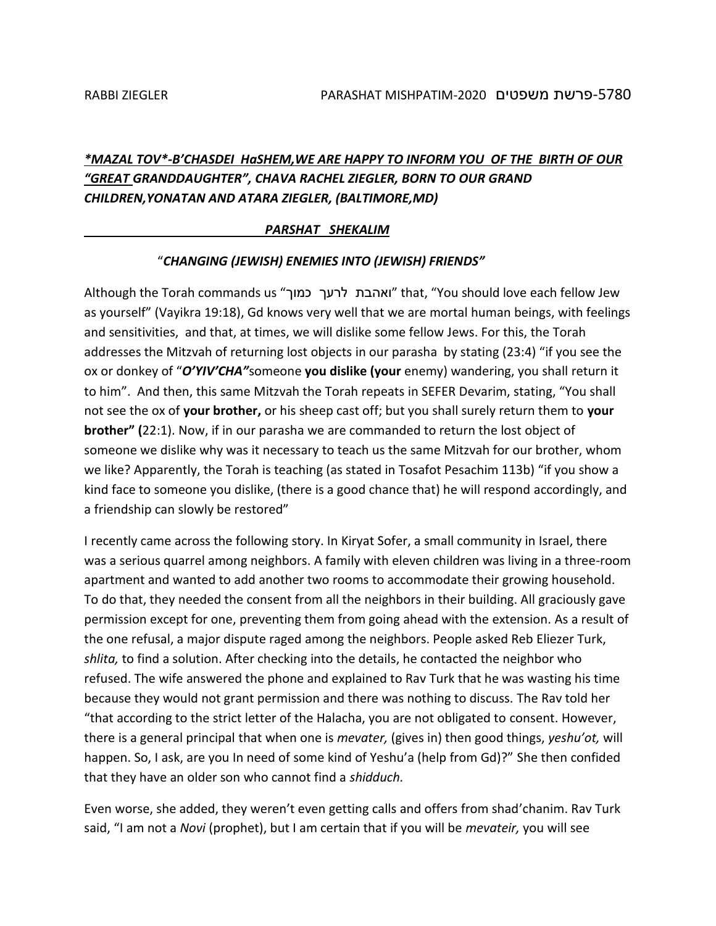# *\*MAZAL TOV\*-B'CHASDEI HaSHEM,WE ARE HAPPY TO INFORM YOU OF THE BIRTH OF OUR "GREAT GRANDDAUGHTER", CHAVA RACHEL ZIEGLER, BORN TO OUR GRAND CHILDREN,YONATAN AND ATARA ZIEGLER, (BALTIMORE,MD)*

#### *PARSHAT SHEKALIM*

#### "*CHANGING (JEWISH) ENEMIES INTO (JEWISH) FRIENDS"*

Although the Torah commands us "כמוך לרעך ואהבת "that, "You should love each fellow Jew as yourself" (Vayikra 19:18), Gd knows very well that we are mortal human beings, with feelings and sensitivities, and that, at times, we will dislike some fellow Jews. For this, the Torah addresses the Mitzvah of returning lost objects in our parasha by stating (23:4) "if you see the ox or donkey of "*O'YIV'CHA"*someone **you dislike (your** enemy) wandering, you shall return it to him". And then, this same Mitzvah the Torah repeats in SEFER Devarim, stating, "You shall not see the ox of **your brother,** or his sheep cast off; but you shall surely return them to **your brother" (**22:1). Now, if in our parasha we are commanded to return the lost object of someone we dislike why was it necessary to teach us the same Mitzvah for our brother, whom we like? Apparently, the Torah is teaching (as stated in Tosafot Pesachim 113b) "if you show a kind face to someone you dislike, (there is a good chance that) he will respond accordingly, and a friendship can slowly be restored"

I recently came across the following story. In Kiryat Sofer, a small community in Israel, there was a serious quarrel among neighbors. A family with eleven children was living in a three-room apartment and wanted to add another two rooms to accommodate their growing household. To do that, they needed the consent from all the neighbors in their building. All graciously gave permission except for one, preventing them from going ahead with the extension. As a result of the one refusal, a major dispute raged among the neighbors. People asked Reb Eliezer Turk, *shlita,* to find a solution. After checking into the details, he contacted the neighbor who refused. The wife answered the phone and explained to Rav Turk that he was wasting his time because they would not grant permission and there was nothing to discuss. The Rav told her "that according to the strict letter of the Halacha, you are not obligated to consent. However, there is a general principal that when one is *mevater,* (gives in) then good things, *yeshu'ot,* will happen. So, I ask, are you In need of some kind of Yeshu'a (help from Gd)?" She then confided that they have an older son who cannot find a *shidduch.*

Even worse, she added, they weren't even getting calls and offers from shad'chanim. Rav Turk said, "I am not a *Novi* (prophet), but I am certain that if you will be *mevateir,* you will see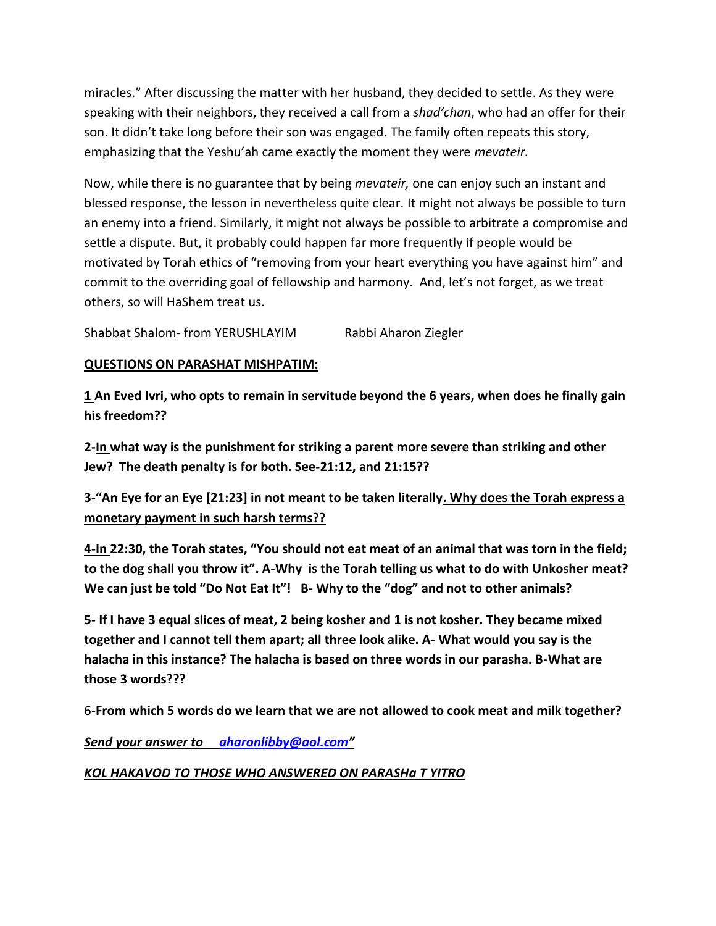miracles." After discussing the matter with her husband, they decided to settle. As they were speaking with their neighbors, they received a call from a *shad'chan*, who had an offer for their son. It didn't take long before their son was engaged. The family often repeats this story, emphasizing that the Yeshu'ah came exactly the moment they were *mevateir.*

Now, while there is no guarantee that by being *mevateir,* one can enjoy such an instant and blessed response, the lesson in nevertheless quite clear. It might not always be possible to turn an enemy into a friend. Similarly, it might not always be possible to arbitrate a compromise and settle a dispute. But, it probably could happen far more frequently if people would be motivated by Torah ethics of "removing from your heart everything you have against him" and commit to the overriding goal of fellowship and harmony. And, let's not forget, as we treat others, so will HaShem treat us.

Shabbat Shalom- from YERUSHLAYIM Rabbi Aharon Ziegler

### **QUESTIONS ON PARASHAT MISHPATIM:**

**1 An Eved Ivri, who opts to remain in servitude beyond the 6 years, when does he finally gain his freedom??**

**2-In what way is the punishment for striking a parent more severe than striking and other Jew? The death penalty is for both. See-21:12, and 21:15??**

**3-"An Eye for an Eye [21:23] in not meant to be taken literally. Why does the Torah express a monetary payment in such harsh terms??** 

**4-In 22:30, the Torah states, "You should not eat meat of an animal that was torn in the field; to the dog shall you throw it". A-Why is the Torah telling us what to do with Unkosher meat? We can just be told "Do Not Eat It"! B- Why to the "dog" and not to other animals?**

**5- If I have 3 equal slices of meat, 2 being kosher and 1 is not kosher. They became mixed together and I cannot tell them apart; all three look alike. A- What would you say is the halacha in this instance? The halacha is based on three words in our parasha. B-What are those 3 words???**

6-**From which 5 words do we learn that we are not allowed to cook meat and milk together?**

*Send your answer to [aharonlibby@aol.com](mailto:aharonlibby@aol.com)"*

## *KOL HAKAVOD TO THOSE WHO ANSWERED ON PARASHa T YITRO*